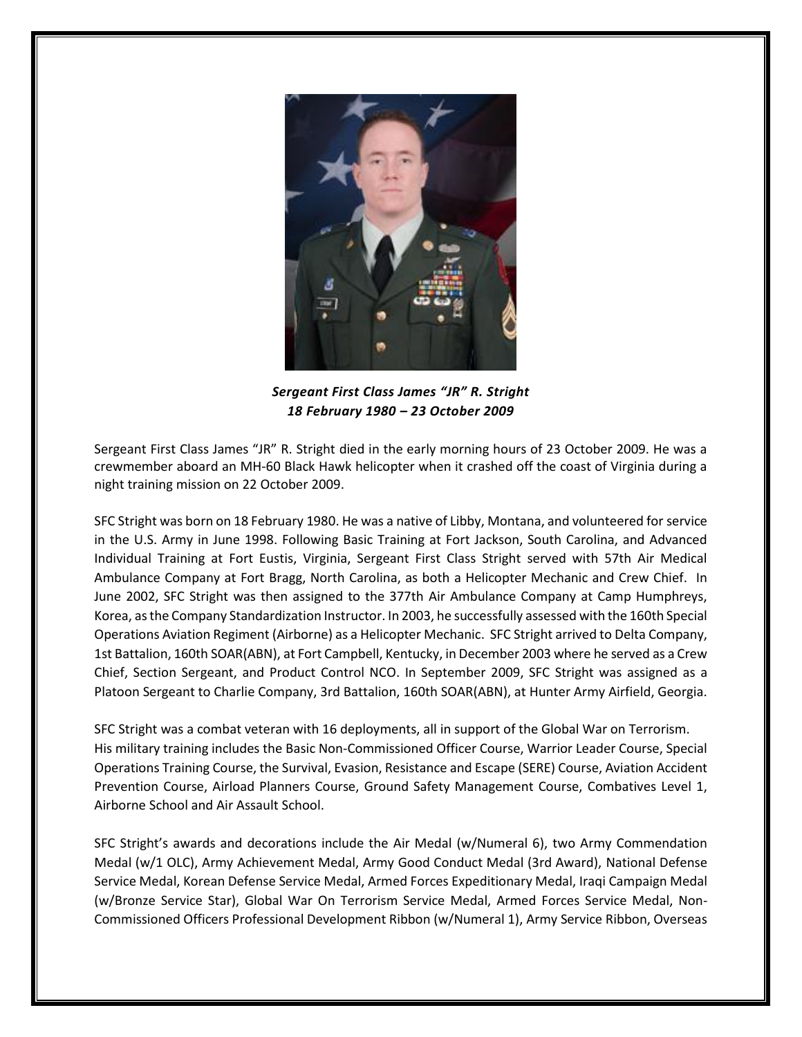

*Sergeant First Class James "JR" R. Stright 18 February 1980 – 23 October 2009*

Sergeant First Class James "JR" R. Stright died in the early morning hours of 23 October 2009. He was a crewmember aboard an MH-60 Black Hawk helicopter when it crashed off the coast of Virginia during a night training mission on 22 October 2009.

SFC Stright was born on 18 February 1980. He was a native of Libby, Montana, and volunteered for service in the U.S. Army in June 1998. Following Basic Training at Fort Jackson, South Carolina, and Advanced Individual Training at Fort Eustis, Virginia, Sergeant First Class Stright served with 57th Air Medical Ambulance Company at Fort Bragg, North Carolina, as both a Helicopter Mechanic and Crew Chief. In June 2002, SFC Stright was then assigned to the 377th Air Ambulance Company at Camp Humphreys, Korea, as the Company Standardization Instructor. In 2003, he successfully assessed with the 160th Special Operations Aviation Regiment (Airborne) as a Helicopter Mechanic. SFC Stright arrived to Delta Company, 1st Battalion, 160th SOAR(ABN), at Fort Campbell, Kentucky, in December 2003 where he served as a Crew Chief, Section Sergeant, and Product Control NCO. In September 2009, SFC Stright was assigned as a Platoon Sergeant to Charlie Company, 3rd Battalion, 160th SOAR(ABN), at Hunter Army Airfield, Georgia.

SFC Stright was a combat veteran with 16 deployments, all in support of the Global War on Terrorism. His military training includes the Basic Non-Commissioned Officer Course, Warrior Leader Course, Special Operations Training Course, the Survival, Evasion, Resistance and Escape (SERE) Course, Aviation Accident Prevention Course, Airload Planners Course, Ground Safety Management Course, Combatives Level 1, Airborne School and Air Assault School.

SFC Stright's awards and decorations include the Air Medal (w/Numeral 6), two Army Commendation Medal (w/1 OLC), Army Achievement Medal, Army Good Conduct Medal (3rd Award), National Defense Service Medal, Korean Defense Service Medal, Armed Forces Expeditionary Medal, Iraqi Campaign Medal (w/Bronze Service Star), Global War On Terrorism Service Medal, Armed Forces Service Medal, Non-Commissioned Officers Professional Development Ribbon (w/Numeral 1), Army Service Ribbon, Overseas